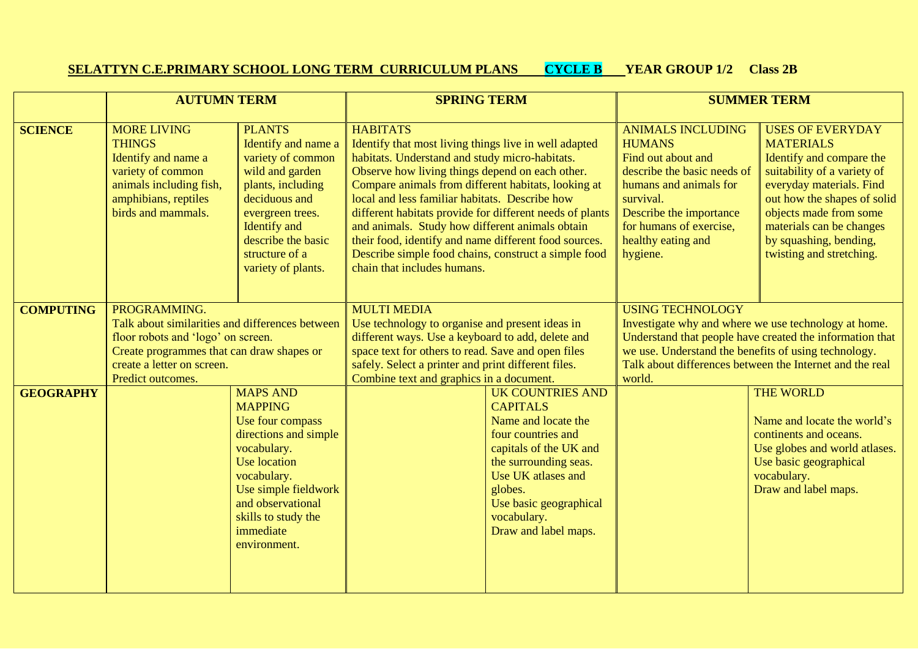## **SELATTYN C.E.PRIMARY SCHOOL LONG TERM CURRICULUM PLANS CYCLE B YEAR GROUP 1/2 Class 2B**

|                  | <b>AUTUMN TERM</b>                                                                                                                                                                                    |                                                                                                                                                                                                                                      | <b>SPRING TERM</b>                                                                                                                                                                                                                                                                                                                                                                                                                                                                                                                                    |                                                                                                                                                                                                                                              | <b>SUMMER TERM</b>                                                                                                                                                                                                                                                        |                                                                                                                                                                                                                                                                               |
|------------------|-------------------------------------------------------------------------------------------------------------------------------------------------------------------------------------------------------|--------------------------------------------------------------------------------------------------------------------------------------------------------------------------------------------------------------------------------------|-------------------------------------------------------------------------------------------------------------------------------------------------------------------------------------------------------------------------------------------------------------------------------------------------------------------------------------------------------------------------------------------------------------------------------------------------------------------------------------------------------------------------------------------------------|----------------------------------------------------------------------------------------------------------------------------------------------------------------------------------------------------------------------------------------------|---------------------------------------------------------------------------------------------------------------------------------------------------------------------------------------------------------------------------------------------------------------------------|-------------------------------------------------------------------------------------------------------------------------------------------------------------------------------------------------------------------------------------------------------------------------------|
| <b>SCIENCE</b>   | <b>MORE LIVING</b><br><b>THINGS</b><br>Identify and name a<br>variety of common<br>animals including fish,<br>amphibians, reptiles<br>birds and mammals.                                              | <b>PLANTS</b><br>Identify and name a<br>variety of common<br>wild and garden<br>plants, including<br>deciduous and<br>evergreen trees.<br><b>Identify</b> and<br>describe the basic<br>structure of a<br>variety of plants.          | <b>HABITATS</b><br>Identify that most living things live in well adapted<br>habitats. Understand and study micro-habitats.<br>Observe how living things depend on each other.<br>Compare animals from different habitats, looking at<br>local and less familiar habitats. Describe how<br>different habitats provide for different needs of plants<br>and animals. Study how different animals obtain<br>their food, identify and name different food sources.<br>Describe simple food chains, construct a simple food<br>chain that includes humans. |                                                                                                                                                                                                                                              | <b>ANIMALS INCLUDING</b><br><b>HUMANS</b><br>Find out about and<br>describe the basic needs of<br>humans and animals for<br>survival.<br>Describe the importance<br>for humans of exercise,<br>healthy eating and<br>hygiene.                                             | <b>USES OF EVERYDAY</b><br><b>MATERIALS</b><br>Identify and compare the<br>suitability of a variety of<br>everyday materials. Find<br>out how the shapes of solid<br>objects made from some<br>materials can be changes<br>by squashing, bending,<br>twisting and stretching. |
| <b>COMPUTING</b> | PROGRAMMING.<br>Talk about similarities and differences between<br>floor robots and 'logo' on screen.<br>Create programmes that can draw shapes or<br>create a letter on screen.<br>Predict outcomes. |                                                                                                                                                                                                                                      | <b>MULTI MEDIA</b><br>Use technology to organise and present ideas in<br>different ways. Use a keyboard to add, delete and<br>space text for others to read. Save and open files<br>safely. Select a printer and print different files.<br>Combine text and graphics in a document.                                                                                                                                                                                                                                                                   |                                                                                                                                                                                                                                              | <b>USING TECHNOLOGY</b><br>Investigate why and where we use technology at home.<br>Understand that people have created the information that<br>we use. Understand the benefits of using technology.<br>Talk about differences between the Internet and the real<br>world. |                                                                                                                                                                                                                                                                               |
| <b>GEOGRAPHY</b> |                                                                                                                                                                                                       | <b>MAPS AND</b><br><b>MAPPING</b><br>Use four compass<br>directions and simple<br>vocabulary.<br><b>Use location</b><br>vocabulary.<br>Use simple fieldwork<br>and observational<br>skills to study the<br>immediate<br>environment. |                                                                                                                                                                                                                                                                                                                                                                                                                                                                                                                                                       | <b>UK COUNTRIES AND</b><br><b>CAPITALS</b><br>Name and locate the<br>four countries and<br>capitals of the UK and<br>the surrounding seas.<br>Use UK atlases and<br>globes.<br>Use basic geographical<br>vocabulary.<br>Draw and label maps. |                                                                                                                                                                                                                                                                           | <b>THE WORLD</b><br>Name and locate the world's<br>continents and oceans.<br>Use globes and world atlases.<br>Use basic geographical<br>vocabulary.<br>Draw and label maps.                                                                                                   |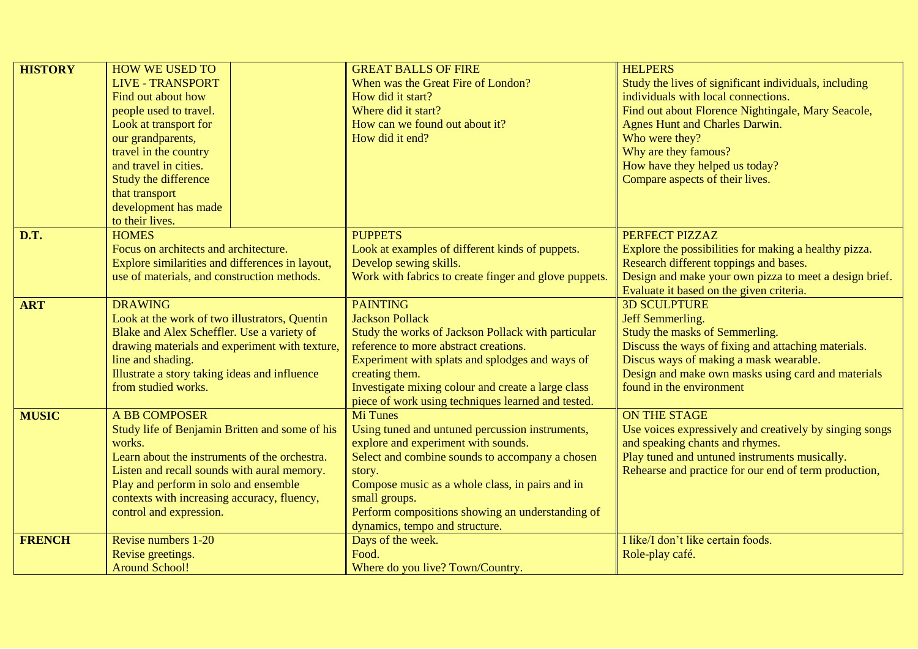| <b>HISTORY</b> | <b>HOW WE USED TO</b>                           | <b>GREAT BALLS OF FIRE</b>                            | <b>HELPERS</b>                                          |  |
|----------------|-------------------------------------------------|-------------------------------------------------------|---------------------------------------------------------|--|
|                | <b>LIVE - TRANSPORT</b>                         | When was the Great Fire of London?                    | Study the lives of significant individuals, including   |  |
|                | Find out about how                              | How did it start?                                     | individuals with local connections.                     |  |
|                | people used to travel.                          | Where did it start?                                   | Find out about Florence Nightingale, Mary Seacole,      |  |
|                | Look at transport for                           | How can we found out about it?                        | <b>Agnes Hunt and Charles Darwin.</b>                   |  |
|                | our grandparents,                               | How did it end?                                       | Who were they?                                          |  |
|                | travel in the country                           |                                                       | Why are they famous?                                    |  |
|                | and travel in cities.                           |                                                       | How have they helped us today?                          |  |
|                | Study the difference                            |                                                       | Compare aspects of their lives.                         |  |
|                | that transport                                  |                                                       |                                                         |  |
|                | development has made                            |                                                       |                                                         |  |
|                | to their lives.                                 |                                                       |                                                         |  |
| D.T.           | <b>HOMES</b>                                    | <b>PUPPETS</b>                                        | PERFECT PIZZAZ                                          |  |
|                | Focus on architects and architecture.           | Look at examples of different kinds of puppets.       | Explore the possibilities for making a healthy pizza.   |  |
|                | Explore similarities and differences in layout, | Develop sewing skills.                                | Research different toppings and bases.                  |  |
|                | use of materials, and construction methods.     | Work with fabrics to create finger and glove puppets. | Design and make your own pizza to meet a design brief.  |  |
|                |                                                 |                                                       | Evaluate it based on the given criteria.                |  |
| <b>ART</b>     | <b>DRAWING</b>                                  | <b>PAINTING</b>                                       | <b>3D SCULPTURE</b>                                     |  |
|                | Look at the work of two illustrators, Quentin   | <b>Jackson Pollack</b>                                | Jeff Semmerling.                                        |  |
|                | Blake and Alex Scheffler. Use a variety of      | Study the works of Jackson Pollack with particular    | Study the masks of Semmerling.                          |  |
|                | drawing materials and experiment with texture,  | reference to more abstract creations.                 | Discuss the ways of fixing and attaching materials.     |  |
|                | line and shading.                               | Experiment with splats and splodges and ways of       | Discus ways of making a mask wearable.                  |  |
|                | Illustrate a story taking ideas and influence   | creating them.                                        | Design and make own masks using card and materials      |  |
|                | from studied works.                             | Investigate mixing colour and create a large class    | found in the environment                                |  |
|                |                                                 | piece of work using techniques learned and tested.    |                                                         |  |
| <b>MUSIC</b>   | <b>A BB COMPOSER</b>                            | <b>Mi Tunes</b>                                       | <b>ON THE STAGE</b>                                     |  |
|                | Study life of Benjamin Britten and some of his  | Using tuned and untuned percussion instruments,       | Use voices expressively and creatively by singing songs |  |
|                | works.                                          | explore and experiment with sounds.                   | and speaking chants and rhymes.                         |  |
|                | Learn about the instruments of the orchestra.   | Select and combine sounds to accompany a chosen       | Play tuned and untuned instruments musically.           |  |
|                | Listen and recall sounds with aural memory.     | story.                                                | Rehearse and practice for our end of term production,   |  |
|                | Play and perform in solo and ensemble           | Compose music as a whole class, in pairs and in       |                                                         |  |
|                | contexts with increasing accuracy, fluency,     | small groups.                                         |                                                         |  |
|                | control and expression.                         | Perform compositions showing an understanding of      |                                                         |  |
|                |                                                 | dynamics, tempo and structure.                        |                                                         |  |
| <b>FRENCH</b>  | Revise numbers 1-20                             | Days of the week.                                     | I like/I don't like certain foods.                      |  |
|                | Revise greetings.                               | Food.                                                 | Role-play café.                                         |  |
|                | <b>Around School!</b>                           | Where do you live? Town/Country.                      |                                                         |  |